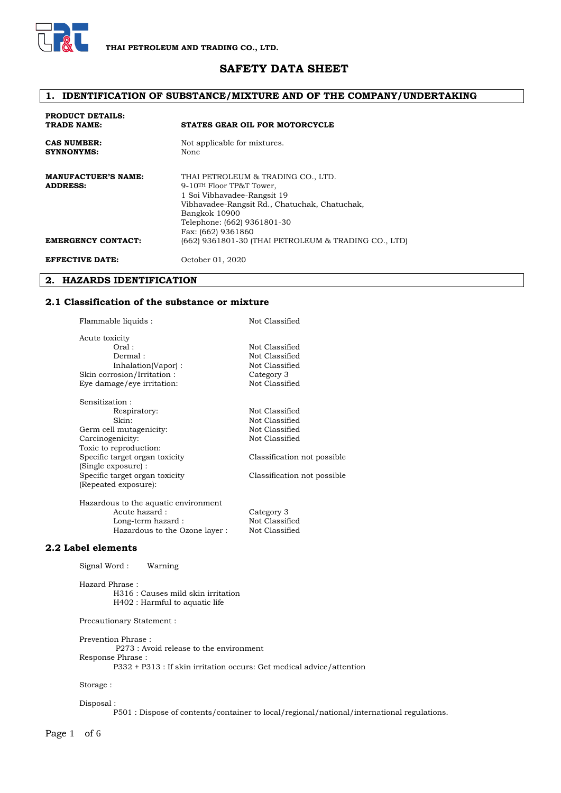

# **SAFETY DATA SHEET**

# **1. IDENTIFICATION OF SUBSTANCE/MIXTURE AND OF THE COMPANY/UNDERTAKING**

| <b>PRODUCT DETAILS:</b><br>TRADE NAME:        | <b>STATES GEAR OIL FOR MOTORCYCLE</b>                                                                                                                                                                                            |
|-----------------------------------------------|----------------------------------------------------------------------------------------------------------------------------------------------------------------------------------------------------------------------------------|
| <b>CAS NUMBER:</b><br><b>SYNNONYMS:</b>       | Not applicable for mixtures.<br>None                                                                                                                                                                                             |
| <b>MANUFACTUER'S NAME:</b><br><b>ADDRESS:</b> | THAI PETROLEUM & TRADING CO., LTD.<br>9-10 <sup>TH</sup> Floor TP&T Tower,<br>1 Soi Vibhavadee-Rangsit 19<br>Vibhavadee-Rangsit Rd., Chatuchak, Chatuchak,<br>Bangkok 10900<br>Telephone: (662) 9361801-30<br>Fax: (662) 9361860 |
| <b>EMERGENCY CONTACT:</b>                     | (662) 9361801-30 (THAI PETROLEUM & TRADING CO., LTD)                                                                                                                                                                             |
| <b>EFFECTIVE DATE:</b>                        | October 01, 2020                                                                                                                                                                                                                 |

#### **2. HAZARDS IDENTIFICATION**

#### **2.1 Classification of the substance or mixture**

| Flammable liquids :                  | Not Classified              |  |  |
|--------------------------------------|-----------------------------|--|--|
| Acute toxicity                       |                             |  |  |
| Oral:                                | Not Classified              |  |  |
| Dermal:                              | Not Classified              |  |  |
| Inhalation(Vapor):                   | Not Classified              |  |  |
| Skin corrosion/Irritation:           | Category 3                  |  |  |
| Eye damage/eye irritation:           | Not Classified              |  |  |
| Sensitization :                      |                             |  |  |
| Respiratory:                         | Not Classified              |  |  |
| Skin:                                | Not Classified              |  |  |
| Germ cell mutagenicity:              | Not Classified              |  |  |
| Carcinogenicity:                     | Not Classified              |  |  |
| Toxic to reproduction:               |                             |  |  |
| Specific target organ toxicity       | Classification not possible |  |  |
| (Single exposure) :                  |                             |  |  |
| Specific target organ toxicity       | Classification not possible |  |  |
| (Repeated exposure):                 |                             |  |  |
| Hazardous to the aquatic environment |                             |  |  |
| Acute hazard:                        | Category 3                  |  |  |
| Long-term hazard :                   | Not Classified              |  |  |
| Hazardous to the Ozone layer:        | Not Classified              |  |  |

#### **2.2 Label elements**

Signal Word : Warning

Hazard Phrase : H316 : Causes mild skin irritation H402 : Harmful to aquatic life

Hazardous to the Ozone layer :

Precautionary Statement :

Prevention Phrase : P273 : Avoid release to the environment Response Phrase :

P332 + P313 : If skin irritation occurs: Get medical advice/attention

Storage :

#### Disposal :

P501 : Dispose of contents/container to local/regional/national/international regulations.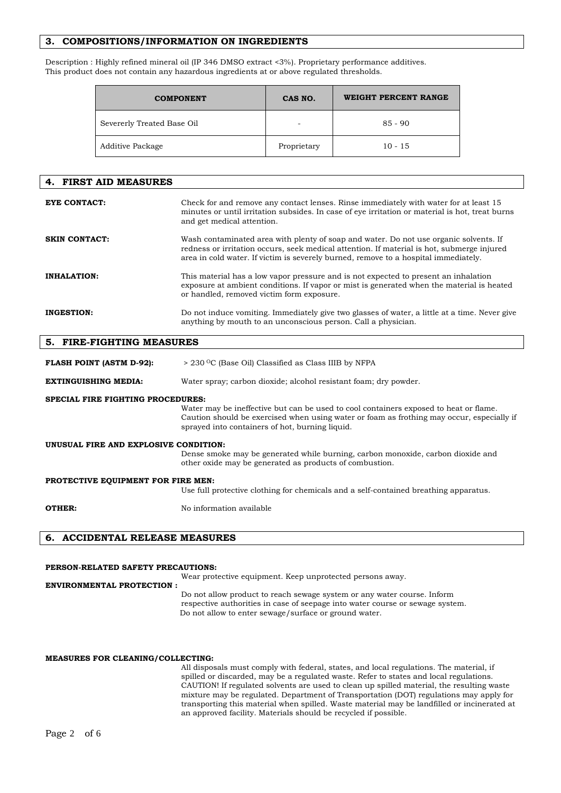## **3. COMPOSITIONS/INFORMATION ON INGREDIENTS**

Description : Highly refined mineral oil (IP 346 DMSO extract <3%). Proprietary performance additives. This product does not contain any hazardous ingredients at or above regulated thresholds.

| <b>COMPONENT</b>           | CAS NO.                  | WEIGHT PERCENT RANGE |
|----------------------------|--------------------------|----------------------|
| Severerly Treated Base Oil | $\overline{\phantom{0}}$ | $85 - 90$            |
| Additive Package           | Proprietary              | $10 - 15$            |

| 4. FIRST AID MEASURES                    |                                                                                                                                                                                                                                                                            |
|------------------------------------------|----------------------------------------------------------------------------------------------------------------------------------------------------------------------------------------------------------------------------------------------------------------------------|
| <b>EYE CONTACT:</b>                      | Check for and remove any contact lenses. Rinse immediately with water for at least 15<br>minutes or until irritation subsides. In case of eye irritation or material is hot, treat burns<br>and get medical attention.                                                     |
| <b>SKIN CONTACT:</b>                     | Wash contaminated area with plenty of soap and water. Do not use organic solvents. If<br>redness or irritation occurs, seek medical attention. If material is hot, submerge injured<br>area in cold water. If victim is severely burned, remove to a hospital immediately. |
| <b>INHALATION:</b>                       | This material has a low vapor pressure and is not expected to present an inhalation<br>exposure at ambient conditions. If vapor or mist is generated when the material is heated<br>or handled, removed victim form exposure.                                              |
| <b>INGESTION:</b>                        | Do not induce vomiting. Immediately give two glasses of water, a little at a time. Never give<br>anything by mouth to an unconscious person. Call a physician.                                                                                                             |
| 5. FIRE-FIGHTING MEASURES                |                                                                                                                                                                                                                                                                            |
| <b>FLASH POINT (ASTM D-92):</b>          | > 230 °C (Base Oil) Classified as Class IIIB by NFPA                                                                                                                                                                                                                       |
| <b>EXTINGUISHING MEDIA:</b>              | Water spray; carbon dioxide; alcohol resistant foam; dry powder.                                                                                                                                                                                                           |
| <b>SPECIAL FIRE FIGHTING PROCEDURES:</b> |                                                                                                                                                                                                                                                                            |
|                                          | Water may be ineffective but can be used to cool containers exposed to heat or flame.<br>Caution should be exercised when using water or foam as frothing may occur, especially if<br>sprayed into containers of hot, burning liquid.                                      |
| UNUSUAL FIRE AND EXPLOSIVE CONDITION:    | Dense smoke may be generated while burning, carbon monoxide, carbon dioxide and<br>other oxide may be generated as products of combustion.                                                                                                                                 |
| PROTECTIVE EQUIPMENT FOR FIRE MEN:       | Use full protective clothing for chemicals and a self-contained breathing apparatus.                                                                                                                                                                                       |
| OTHER:                                   | No information available                                                                                                                                                                                                                                                   |

#### **6. ACCIDENTAL RELEASE MEASURES**

#### **PERSON-RELATED SAFETY PRECAUTIONS:**

Wear protective equipment. Keep unprotected persons away.

**ENVIRONMENTAL PROTECTION :** Do not allow product to reach sewage system or any water course. Inform respective authorities in case of seepage into water course or sewage system. Do not allow to enter sewage/surface or ground water.

#### **MEASURES FOR CLEANING/COLLECTING:**

All disposals must comply with federal, states, and local regulations. The material, if spilled or discarded, may be a regulated waste. Refer to states and local regulations. CAUTION! If regulated solvents are used to clean up spilled material, the resulting waste mixture may be regulated. Department of Transportation (DOT) regulations may apply for transporting this material when spilled. Waste material may be landfilled or incinerated at an approved facility. Materials should be recycled if possible.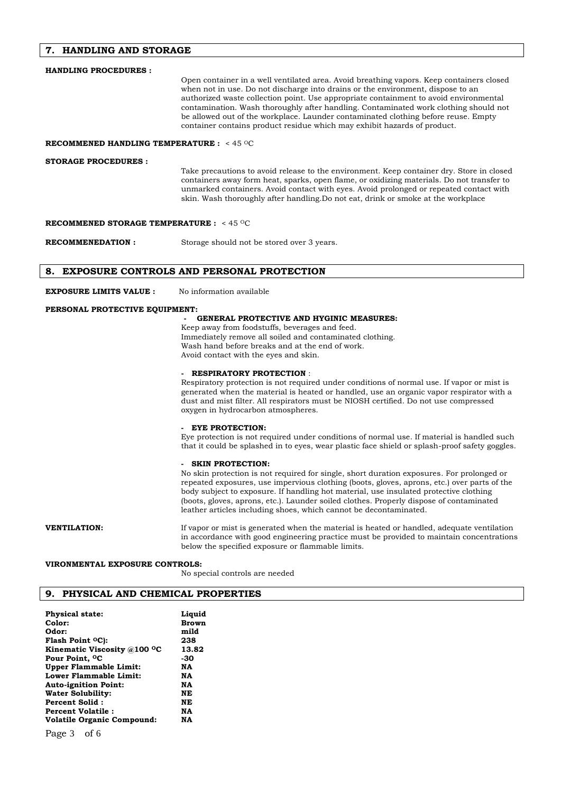#### **7. HANDLING AND STORAGE**

| <b>HANDLING PROCEDURES:</b>                                   |                                                                                                                                                                                                                                                                                                                                                                                                                                                                                                                                |
|---------------------------------------------------------------|--------------------------------------------------------------------------------------------------------------------------------------------------------------------------------------------------------------------------------------------------------------------------------------------------------------------------------------------------------------------------------------------------------------------------------------------------------------------------------------------------------------------------------|
|                                                               | Open container in a well ventilated area. Avoid breathing vapors. Keep containers closed<br>when not in use. Do not discharge into drains or the environment, dispose to an<br>authorized waste collection point. Use appropriate containment to avoid environmental<br>contamination. Wash thoroughly after handling. Contaminated work clothing should not<br>be allowed out of the workplace. Launder contaminated clothing before reuse. Empty<br>container contains product residue which may exhibit hazards of product. |
| <b>RECOMMENED HANDLING TEMPERATURE:</b> <45 °C                |                                                                                                                                                                                                                                                                                                                                                                                                                                                                                                                                |
| <b>STORAGE PROCEDURES:</b>                                    | Take precautions to avoid release to the environment. Keep container dry. Store in closed<br>containers away form heat, sparks, open flame, or oxidizing materials. Do not transfer to<br>unmarked containers. Avoid contact with eyes. Avoid prolonged or repeated contact with<br>skin. Wash thoroughly after handling. Do not eat, drink or smoke at the workplace                                                                                                                                                          |
| <b>RECOMMENED STORAGE TEMPERATURE :</b> $< 45$ <sup>o</sup> C |                                                                                                                                                                                                                                                                                                                                                                                                                                                                                                                                |
| <b>RECOMMENEDATION:</b>                                       | Storage should not be stored over 3 years.                                                                                                                                                                                                                                                                                                                                                                                                                                                                                     |
|                                                               | 8. EXPOSURE CONTROLS AND PERSONAL PROTECTION                                                                                                                                                                                                                                                                                                                                                                                                                                                                                   |
| <b>EXPOSURE LIMITS VALUE :</b>                                | No information available                                                                                                                                                                                                                                                                                                                                                                                                                                                                                                       |
| PERSONAL PROTECTIVE EQUIPMENT:                                |                                                                                                                                                                                                                                                                                                                                                                                                                                                                                                                                |
|                                                               | <b>GENERAL PROTECTIVE AND HYGINIC MEASURES:</b>                                                                                                                                                                                                                                                                                                                                                                                                                                                                                |
|                                                               | Keep away from foodstuffs, beverages and feed.<br>Immediately remove all soiled and contaminated clothing.<br>Wash hand before breaks and at the end of work.<br>Avoid contact with the eyes and skin.                                                                                                                                                                                                                                                                                                                         |
|                                                               | <b>RESPIRATORY PROTECTION:</b>                                                                                                                                                                                                                                                                                                                                                                                                                                                                                                 |

Respiratory protection is not required under conditions of normal use. If vapor or mist is generated when the material is heated or handled, use an organic vapor respirator with a dust and mist filter. All respirators must be NIOSH certified. Do not use compressed oxygen in hydrocarbon atmospheres.

#### **- EYE PROTECTION:**

Eye protection is not required under conditions of normal use. If material is handled such that it could be splashed in to eyes, wear plastic face shield or splash-proof safety goggles.

#### **SKIN PROTECTION:**

No skin protection is not required for single, short duration exposures. For prolonged or repeated exposures, use impervious clothing (boots, gloves, aprons, etc.) over parts of the body subject to exposure. If handling hot material, use insulated protective clothing (boots, gloves, aprons, etc.). Launder soiled clothes. Properly dispose of contaminated leather articles including shoes, which cannot be decontaminated.

**VENTILATION:** If vapor or mist is generated when the material is heated or handled, adequate ventilation in accordance with good engineering practice must be provided to maintain concentrations below the specified exposure or flammable limits.

#### **VIRONMENTAL EXPOSURE CONTROLS:**

No special controls are needed

### **9. PHYSICAL AND CHEMICAL PROPERTIES**

| <b>Physical state:</b>                    | Liquid       |
|-------------------------------------------|--------------|
| Color:                                    | <b>Brown</b> |
| Odor:                                     | mild         |
| Flash Point <sup>O</sup> C):              | 238          |
| Kinematic Viscosity $@100$ <sup>o</sup> C | 13.82        |
| Pour Point, <sup>O</sup> C                | -30          |
| <b>Upper Flammable Limit:</b>             | NA           |
| Lower Flammable Limit:                    | NA           |
| <b>Auto-ignition Point:</b>               | NA           |
| Water Solubility:                         | NE           |
| Percent Solid:                            | NE           |
| <b>Percent Volatile:</b>                  | NA           |
| <b>Volatile Organic Compound:</b>         | NA           |
|                                           |              |

Page 3 of 6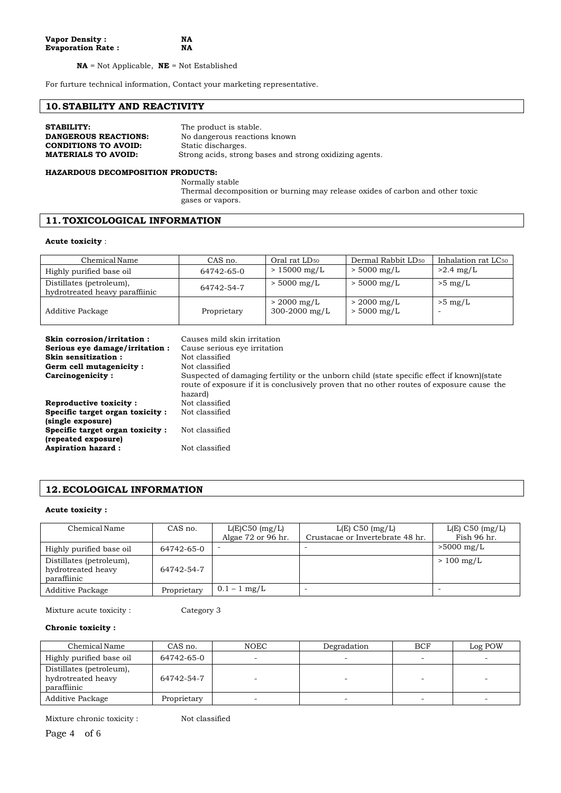**NA** = Not Applicable, **NE** = Not Established

For furture technical information, Contact your marketing representative.

## **10.STABILITY AND REACTIVITY**

| <b>STABILITY:</b>           | The product is stable.                                  |
|-----------------------------|---------------------------------------------------------|
| <b>DANGEROUS REACTIONS:</b> | No dangerous reactions known                            |
| <b>CONDITIONS TO AVOID:</b> | Static discharges.                                      |
| <b>MATERIALS TO AVOID:</b>  | Strong acids, strong bases and strong oxidizing agents. |

#### **HAZARDOUS DECOMPOSITION PRODUCTS:**

Normally stable Thermal decomposition or burning may release oxides of carbon and other toxic gases or vapors.

## **11. TOXICOLOGICAL INFORMATION**

#### **Acute toxicity** :

| Chemical Name                                              | CAS no.     | Oral rat LD <sub>50</sub>                     | Dermal Rabbit LD <sub>50</sub> | Inhalation rat LC <sub>50</sub> |
|------------------------------------------------------------|-------------|-----------------------------------------------|--------------------------------|---------------------------------|
| Highly purified base oil                                   | 64742-65-0  | $>15000$ mg/L                                 | $> 5000$ mg/L                  | $>2.4$ mg/L                     |
| Distillates (petroleum),<br>hydrotreated heavy paraffiinic | 64742-54-7  | $> 5000$ mg/L                                 | $> 5000$ mg/L                  | $>5$ mg/L                       |
| Additive Package                                           | Proprietary | $> 2000 \,\mathrm{mg/L}$<br>$300 - 2000$ mg/L | $> 2000$ mg/L<br>$> 5000$ mg/L | $>5$ mg/L                       |

| Skin corrosion/irritation:<br>Serious eye damage/irritation : | Causes mild skin irritation<br>Cause serious eye irritation                                                                                                                                         |
|---------------------------------------------------------------|-----------------------------------------------------------------------------------------------------------------------------------------------------------------------------------------------------|
| Skin sensitization:                                           | Not classified                                                                                                                                                                                      |
| Germ cell mutagenicity:                                       | Not classified                                                                                                                                                                                      |
| Carcinogenicity:                                              | Suspected of damaging fertility or the unborn child (state specific effect if known) (state<br>route of exposure if it is conclusively proven that no other routes of exposure cause the<br>hazard) |
| Reproductive toxicity:                                        | Not classified                                                                                                                                                                                      |
| Specific target organ toxicity:<br>(single exposure)          | Not classified                                                                                                                                                                                      |
| Specific target organ toxicity:<br>(repeated exposure)        | Not classified                                                                                                                                                                                      |
| <b>Aspiration hazard:</b>                                     | Not classified                                                                                                                                                                                      |

# **12.ECOLOGICAL INFORMATION**

#### **Acute toxicity :**

| Chemical Name                                                 | CAS no.     | $L(E)$ C50 (mg/L)  | $L(E)$ C50 (mg/L)                | $L(E)$ C50 (mg/L)        |
|---------------------------------------------------------------|-------------|--------------------|----------------------------------|--------------------------|
|                                                               |             | Algae 72 or 96 hr. | Crustacae or Invertebrate 48 hr. | Fish 96 hr.              |
| Highly purified base oil                                      | 64742-65-0  |                    |                                  | $>5000$ mg/L             |
| Distillates (petroleum),<br>hydrotreated heavy<br>paraffiinic | 64742-54-7  |                    |                                  | $>100$ mg/L              |
| Additive Package                                              | Proprietary | $0.1 - 1$ mg/L     | -                                | $\overline{\phantom{0}}$ |

Mixture acute toxicity : Category 3

#### **Chronic toxicity :**

| Chemical Name                                                 | CAS no.     | <b>NOEC</b> | Degradation              | <b>BCF</b> | Log POW                  |
|---------------------------------------------------------------|-------------|-------------|--------------------------|------------|--------------------------|
| Highly purified base oil                                      | 64742-65-0  |             |                          |            |                          |
| Distillates (petroleum),<br>hydrotreated heavy<br>paraffiinic | 64742-54-7  |             |                          |            |                          |
| <b>Additive Package</b>                                       | Proprietary | -           | $\overline{\phantom{0}}$ | $\sim$     | $\overline{\phantom{0}}$ |

Mixture chronic toxicity : Not classified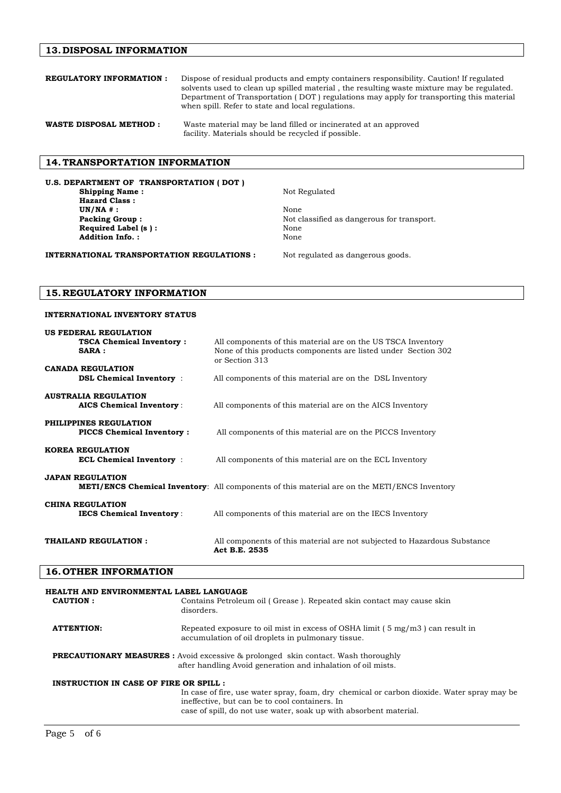## **13.DISPOSAL INFORMATION**

| <b>REGULATORY INFORMATION:</b> | Dispose of residual products and empty containers responsibility. Caution! If regulated<br>solvents used to clean up spilled material, the resulting waste mixture may be regulated.<br>Department of Transportation (DOT) regulations may apply for transporting this material<br>when spill. Refer to state and local regulations. |
|--------------------------------|--------------------------------------------------------------------------------------------------------------------------------------------------------------------------------------------------------------------------------------------------------------------------------------------------------------------------------------|
| <b>WASTE DISPOSAL METHOD:</b>  | Waste material may be land filled or incinerated at an approved<br>facility. Materials should be recycled if possible.                                                                                                                                                                                                               |

## **14. TRANSPORTATION INFORMATION**

**U.S. DEPARTMENT OF TRANSPORTATION ( DOT ) Shipping Name :** Not Regulated **Hazard Class : UN/NA # :** None **Packing Group :** <br> Not classified as dangerous for transport.<br> **Required Label (s ) :** <br> None **Required Label (s ):** Addition Info. : None

**INTERNATIONAL TRANSPORTATION REGULATIONS :** Not regulated as dangerous goods.

# **15.REGULATORY INFORMATION**

## **INTERNATIONAL INVENTORY STATUS**

| <b>US FEDERAL REGULATION</b>                                   |                                                                                                                                                 |
|----------------------------------------------------------------|-------------------------------------------------------------------------------------------------------------------------------------------------|
| <b>TSCA Chemical Inventory:</b><br>SARA:                       | All components of this material are on the US TSCA Inventory<br>None of this products components are listed under Section 302<br>or Section 313 |
| <b>CANADA REGULATION</b><br><b>DSL Chemical Inventory</b> :    | All components of this material are on the DSL Inventory                                                                                        |
| <b>AUSTRALIA REGULATION</b><br><b>AICS Chemical Inventory:</b> | All components of this material are on the AICS Inventory                                                                                       |
| PHILIPPINES REGULATION<br><b>PICCS Chemical Inventory:</b>     | All components of this material are on the PICCS Inventory                                                                                      |
| <b>KOREA REGULATION</b><br><b>ECL Chemical Inventory</b> :     | All components of this material are on the ECL Inventory                                                                                        |
| <b>JAPAN REGULATION</b>                                        | <b>METI/ENCS Chemical Inventory:</b> All components of this material are on the METI/ENCS Inventory                                             |
| <b>CHINA REGULATION</b><br><b>IECS Chemical Inventory:</b>     | All components of this material are on the IECS Inventory                                                                                       |
| THAILAND REGULATION:                                           | All components of this material are not subjected to Hazardous Substance<br>Act B.E. 2535                                                       |

## **16. OTHER INFORMATION**

| HEALTH AND ENVIRONMENTAL LABEL LANGUAGE |                                                                                                                                                                                                                   |
|-----------------------------------------|-------------------------------------------------------------------------------------------------------------------------------------------------------------------------------------------------------------------|
| CAUTION:                                | Contains Petroleum oil (Grease). Repeated skin contact may cause skin<br>disorders.                                                                                                                               |
| <b>ATTENTION:</b>                       | Repeated exposure to oil mist in excess of OSHA limit $(5 \text{ mg/m}3)$ can result in<br>accumulation of oil droplets in pulmonary tissue.                                                                      |
|                                         | <b>PRECAUTIONARY MEASURES</b> : Avoid excessive & prolonged skin contact. Wash thoroughly<br>after handling Avoid generation and inhalation of oil mists.                                                         |
| INSTRUCTION IN CASE OF FIRE OR SPILL :  |                                                                                                                                                                                                                   |
|                                         | In case of fire, use water spray, foam, dry chemical or carbon dioxide. Water spray may be<br>ineffective, but can be to cool containers. In<br>case of spill, do not use water, soak up with absorbent material. |